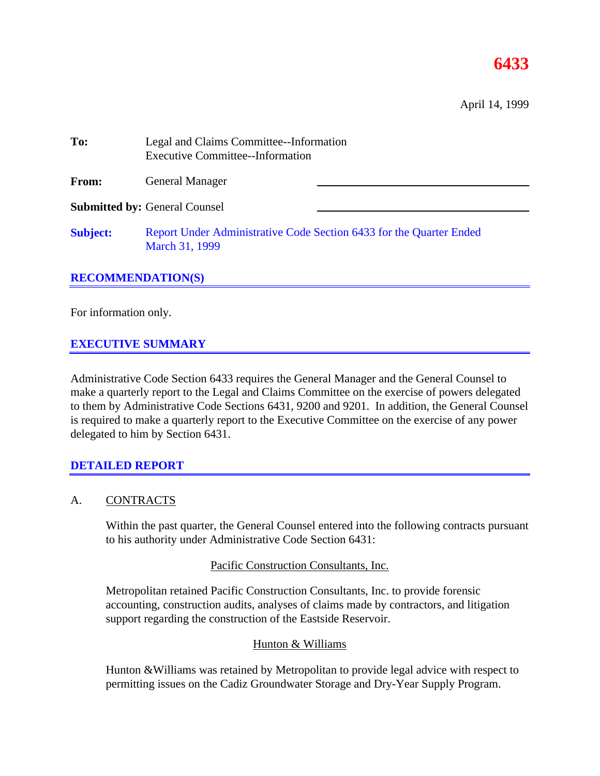# **6433**

April 14, 1999

| To:             | Legal and Claims Committee--Information<br><b>Executive Committee--Information</b>    |  |  |  |
|-----------------|---------------------------------------------------------------------------------------|--|--|--|
| From:           | <b>General Manager</b>                                                                |  |  |  |
|                 | <b>Submitted by: General Counsel</b>                                                  |  |  |  |
| <b>Subject:</b> | Report Under Administrative Code Section 6433 for the Quarter Ended<br>March 31, 1999 |  |  |  |

#### **RECOMMENDATION(S)**

For information only.

#### **EXECUTIVE SUMMARY**

Administrative Code Section 6433 requires the General Manager and the General Counsel to make a quarterly report to the Legal and Claims Committee on the exercise of powers delegated to them by Administrative Code Sections 6431, 9200 and 9201. In addition, the General Counsel is required to make a quarterly report to the Executive Committee on the exercise of any power delegated to him by Section 6431.

#### **DETAILED REPORT**

#### A. CONTRACTS

Within the past quarter, the General Counsel entered into the following contracts pursuant to his authority under Administrative Code Section 6431:

#### Pacific Construction Consultants, Inc.

Metropolitan retained Pacific Construction Consultants, Inc. to provide forensic accounting, construction audits, analyses of claims made by contractors, and litigation support regarding the construction of the Eastside Reservoir.

#### Hunton & Williams

Hunton &Williams was retained by Metropolitan to provide legal advice with respect to permitting issues on the Cadiz Groundwater Storage and Dry-Year Supply Program.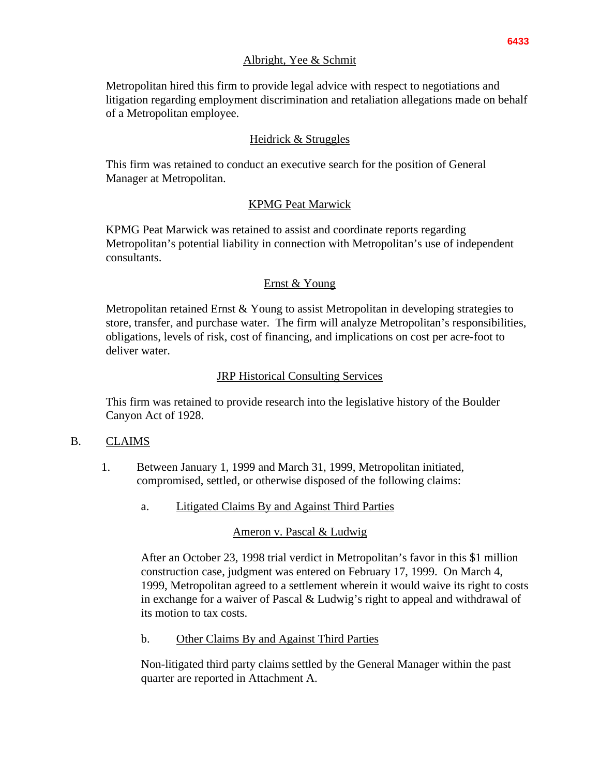#### Albright, Yee & Schmit

Metropolitan hired this firm to provide legal advice with respect to negotiations and litigation regarding employment discrimination and retaliation allegations made on behalf of a Metropolitan employee.

### Heidrick & Struggles

This firm was retained to conduct an executive search for the position of General Manager at Metropolitan.

# KPMG Peat Marwick

KPMG Peat Marwick was retained to assist and coordinate reports regarding Metropolitan's potential liability in connection with Metropolitan's use of independent consultants.

# Ernst & Young

Metropolitan retained Ernst & Young to assist Metropolitan in developing strategies to store, transfer, and purchase water. The firm will analyze Metropolitan's responsibilities, obligations, levels of risk, cost of financing, and implications on cost per acre-foot to deliver water.

#### JRP Historical Consulting Services

This firm was retained to provide research into the legislative history of the Boulder Canyon Act of 1928.

#### B. CLAIMS

- 1. Between January 1, 1999 and March 31, 1999, Metropolitan initiated, compromised, settled, or otherwise disposed of the following claims:
	- a. Litigated Claims By and Against Third Parties

#### Ameron v. Pascal & Ludwig

After an October 23, 1998 trial verdict in Metropolitan's favor in this \$1 million construction case, judgment was entered on February 17, 1999. On March 4, 1999, Metropolitan agreed to a settlement wherein it would waive its right to costs in exchange for a waiver of Pascal & Ludwig's right to appeal and withdrawal of its motion to tax costs.

b. Other Claims By and Against Third Parties

Non-litigated third party claims settled by the General Manager within the past quarter are reported in Attachment A.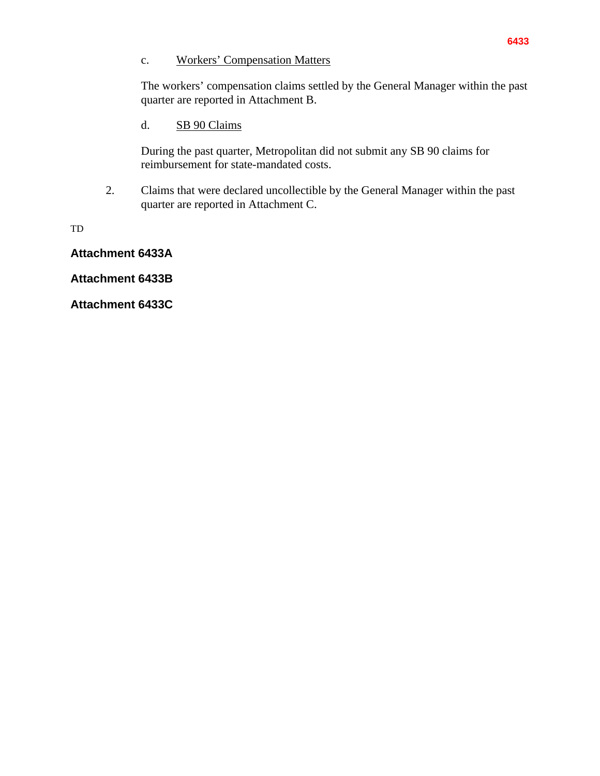#### c. Workers' Compensation Matters

The workers' compensation claims settled by the General Manager within the past quarter are reported in Attachment B.

# d. SB 90 Claims

During the past quarter, Metropolitan did not submit any SB 90 claims for reimbursement for state-mandated costs.

2. Claims that were declared uncollectible by the General Manager within the past quarter are reported in Attachment C.

TD

**Attachment 6433A**

**Attachment 6433B**

**Attachment 6433C**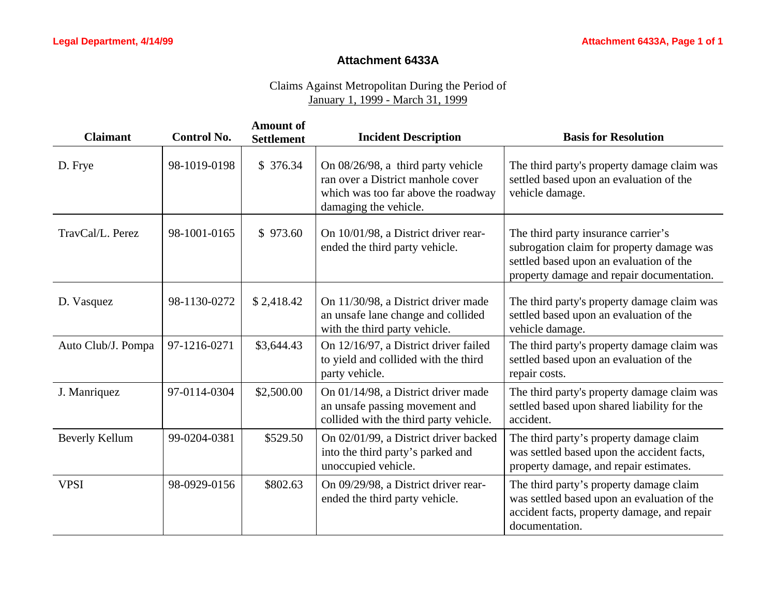#### **Attachment 6433A**

# Claims Against Metropolitan During the Period of January 1, 1999 - March 31, 1999

| <b>Claimant</b>       | <b>Control No.</b> | <b>Amount of</b><br><b>Settlement</b> | <b>Incident Description</b>                                                                                                             | <b>Basis for Resolution</b>                                                                                                                                              |
|-----------------------|--------------------|---------------------------------------|-----------------------------------------------------------------------------------------------------------------------------------------|--------------------------------------------------------------------------------------------------------------------------------------------------------------------------|
| D. Frye               | 98-1019-0198       | \$376.34                              | On 08/26/98, a third party vehicle<br>ran over a District manhole cover<br>which was too far above the roadway<br>damaging the vehicle. | The third party's property damage claim was<br>settled based upon an evaluation of the<br>vehicle damage.                                                                |
| TravCal/L. Perez      | 98-1001-0165       | \$973.60                              | On 10/01/98, a District driver rear-<br>ended the third party vehicle.                                                                  | The third party insurance carrier's<br>subrogation claim for property damage was<br>settled based upon an evaluation of the<br>property damage and repair documentation. |
| D. Vasquez            | 98-1130-0272       | \$2,418.42                            | On 11/30/98, a District driver made<br>an unsafe lane change and collided<br>with the third party vehicle.                              | The third party's property damage claim was<br>settled based upon an evaluation of the<br>vehicle damage.                                                                |
| Auto Club/J. Pompa    | 97-1216-0271       | \$3,644.43                            | On 12/16/97, a District driver failed<br>to yield and collided with the third<br>party vehicle.                                         | The third party's property damage claim was<br>settled based upon an evaluation of the<br>repair costs.                                                                  |
| J. Manriquez          | 97-0114-0304       | \$2,500.00                            | On 01/14/98, a District driver made<br>an unsafe passing movement and<br>collided with the third party vehicle.                         | The third party's property damage claim was<br>settled based upon shared liability for the<br>accident.                                                                  |
| <b>Beverly Kellum</b> | 99-0204-0381       | \$529.50                              | On 02/01/99, a District driver backed<br>into the third party's parked and<br>unoccupied vehicle.                                       | The third party's property damage claim<br>was settled based upon the accident facts,<br>property damage, and repair estimates.                                          |
| <b>VPSI</b>           | 98-0929-0156       | \$802.63                              | On 09/29/98, a District driver rear-<br>ended the third party vehicle.                                                                  | The third party's property damage claim<br>was settled based upon an evaluation of the<br>accident facts, property damage, and repair<br>documentation.                  |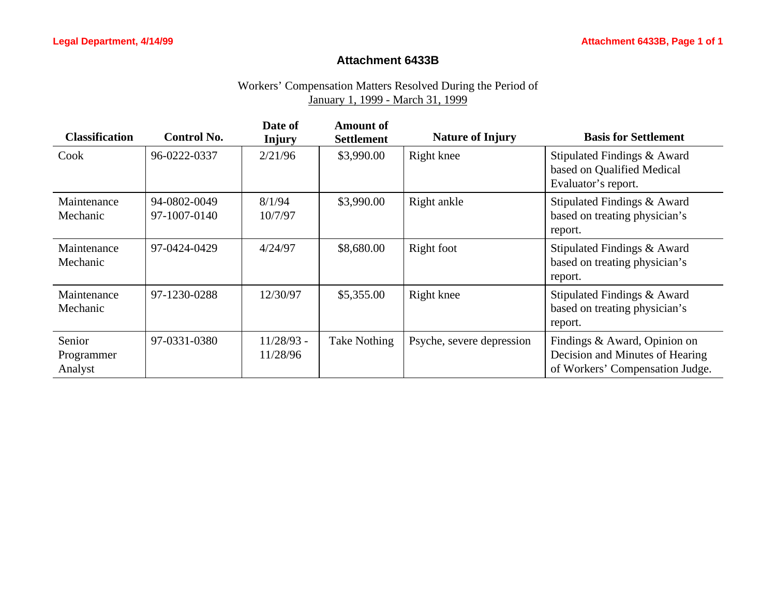#### **Attachment 6433B**

### Workers' Compensation Matters Resolved During the Period of January 1, 1999 - March 31, 1999

| <b>Classification</b>           | <b>Control No.</b>           | Date of<br><b>Injury</b> | <b>Amount of</b><br><b>Settlement</b> | <b>Nature of Injury</b>   | <b>Basis for Settlement</b>                                                                        |
|---------------------------------|------------------------------|--------------------------|---------------------------------------|---------------------------|----------------------------------------------------------------------------------------------------|
| Cook                            | 96-0222-0337                 | 2/21/96                  | \$3,990.00                            | Right knee                | Stipulated Findings & Award<br>based on Qualified Medical<br>Evaluator's report.                   |
| Maintenance<br>Mechanic         | 94-0802-0049<br>97-1007-0140 | 8/1/94<br>10/7/97        | \$3,990.00                            | Right ankle               | Stipulated Findings & Award<br>based on treating physician's<br>report.                            |
| Maintenance<br>Mechanic         | 97-0424-0429                 | 4/24/97                  | \$8,680.00                            | Right foot                | Stipulated Findings & Award<br>based on treating physician's<br>report.                            |
| Maintenance<br>Mechanic         | 97-1230-0288                 | 12/30/97                 | \$5,355.00                            | Right knee                | Stipulated Findings & Award<br>based on treating physician's<br>report.                            |
| Senior<br>Programmer<br>Analyst | 97-0331-0380                 | $11/28/93$ -<br>11/28/96 | <b>Take Nothing</b>                   | Psyche, severe depression | Findings & Award, Opinion on<br>Decision and Minutes of Hearing<br>of Workers' Compensation Judge. |